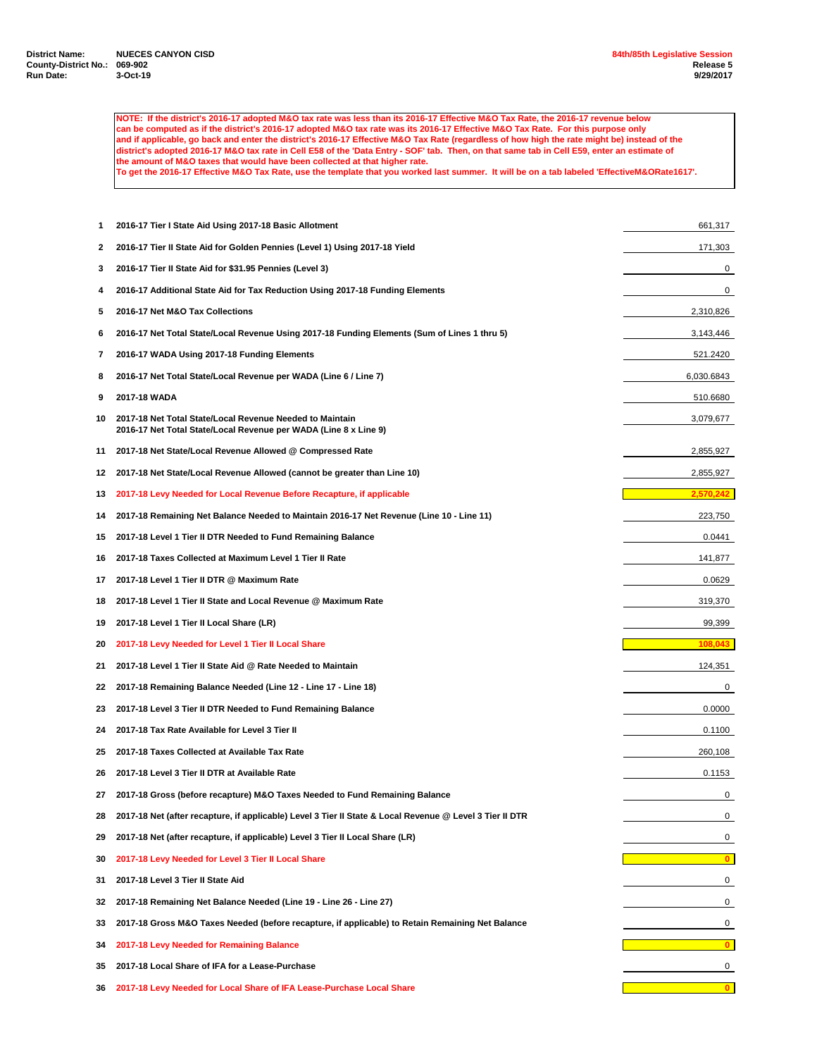**NOTE: If the district's 2016-17 adopted M&O tax rate was less than its 2016-17 Effective M&O Tax Rate, the 2016-17 revenue below can be computed as if the district's 2016-17 adopted M&O tax rate was its 2016-17 Effective M&O Tax Rate. For this purpose only and if applicable, go back and enter the district's 2016-17 Effective M&O Tax Rate (regardless of how high the rate might be) instead of the district's adopted 2016-17 M&O tax rate in Cell E58 of the 'Data Entry - SOF' tab. Then, on that same tab in Cell E59, enter an estimate of the amount of M&O taxes that would have been collected at that higher rate. To get the 2016-17 Effective M&O Tax Rate, use the template that you worked last summer. It will be on a tab labeled 'EffectiveM&ORate1617'.**

 **2016-17 Tier I State Aid Using 2017-18 Basic Allotment** 661,317 **2016-17 Tier II State Aid for Golden Pennies (Level 1) Using 2017-18 Yield** 171,303 **2016-17 Tier II State Aid for \$31.95 Pennies (Level 3)** 0 **2016-17 Additional State Aid for Tax Reduction Using 2017-18 Funding Elements** 0 **2016-17 Net M&O Tax Collections** 2,310,826 **2016-17 Net Total State/Local Revenue Using 2017-18 Funding Elements (Sum of Lines 1 thru 5)** 3,143,446 **2016-17 WADA Using 2017-18 Funding Elements** 521.2420 **2016-17 Net Total State/Local Revenue per WADA (Line 6 / Line 7)** 6,030.6843 **2017-18 WADA** 510.6680 **2017-18 Net Total State/Local Revenue Needed to Maintain** 3,079,677 **2016-17 Net Total State/Local Revenue per WADA (Line 8 x Line 9) 2017-18 Net State/Local Revenue Allowed @ Compressed Rate** 2,855,927 **2017-18 Net State/Local Revenue Allowed (cannot be greater than Line 10)** 2,855,927 **2017-18 Levy Needed for Local Revenue Before Recapture, if applicable 2017-18 Remaining Net Balance Needed to Maintain 2016-17 Net Revenue (Line 10 - Line 11)** 223,750 **2017-18 Level 1 Tier II DTR Needed to Fund Remaining Balance** 0.0441 **2017-18 Taxes Collected at Maximum Level 1 Tier II Rate** 141,877 **2017-18 Level 1 Tier II DTR @ Maximum Rate** 0.0629 **2017-18 Level 1 Tier II State and Local Revenue @ Maximum Rate** 319,370 **2017-18 Level 1 Tier II Local Share (LR)** 99,399 **2017-18 Levy Needed for Level 1 Tier II Local Share 108,043 108,043 108,043 2017-18 Level 1 Tier II State Aid @ Rate Needed to Maintain** 124,351 **2017-18 Remaining Balance Needed (Line 12 - Line 17 - Line 18)** 0 **2017-18 Level 3 Tier II DTR Needed to Fund Remaining Balance** 0.0000 **2017-18 Tax Rate Available for Level 3 Tier II** 0.1100 **2017-18 Taxes Collected at Available Tax Rate** 260,108 **2017-18 Level 3 Tier II DTR at Available Rate** 0.1153 **2017-18 Gross (before recapture) M&O Taxes Needed to Fund Remaining Balance** 0 **2017-18 Net (after recapture, if applicable) Level 3 Tier II State & Local Revenue @ Level 3 Tier II DTR** 0 **2017-18 Net (after recapture, if applicable) Level 3 Tier II Local Share (LR)** 0 **2017-18 Levy Needed for Level 3 Tier II Local Share 0 2017-18 Level 3 Tier II State Aid** 0 **2017-18 Remaining Net Balance Needed (Line 19 - Line 26 - Line 27)** 0 **2017-18 Gross M&O Taxes Needed (before recapture, if applicable) to Retain Remaining Net Balance** 0 **2017-18 Levy Needed for Remaining Balance 0 2017-18 Local Share of IFA for a Lease-Purchase** 0 **2017-18 Levy Needed for Local Share of IFA Lease-Purchase Local Share 0**